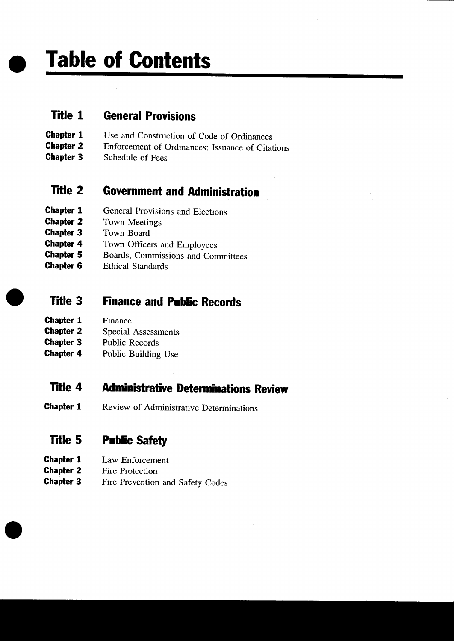Table of Contents

### Title <sup>1</sup> General Provisions

- **Chapter 1** Use and Construction of Code of Ordinances<br> **Chapter 2** Enforcement of Ordinances: Issuance of Citat
- **Chapter 2** Enforcement of Ordinances; Issuance of Citations<br>**Chapter 3** Schedule of Fees
- Schedule of Fees

## Title 2 Government and Administration

- **Chapter 1** General Provisions and Elections
- **Chapter 2** Town Meetings<br>**Chapter 3** Town Board
- Town Board
- **Chapter 4** Town Officers and Employees<br> **Chapter 5** Boards. Commissions and Con
- Boards, Commissions and Committees
- **Chapter 6** Ethical Standards

## **Title 3 Finance and Public Records**

- **Chapter 1** Finance
- **Chapter 2** Special Assessments<br>**Chapter 3** Public Records
- Public Records
- **Chapter 4** Public Building Use

## Title 4 Administrative Determinations Review

**Chapter 1** Review of Administrative Determinations

## Title 5 Public Safety

- **Chapter 1** Law Enforcement
- **Chapter 2** Fire Protection<br>**Chapter 3** Fire Prevention
- Fire Prevention and Safety Codes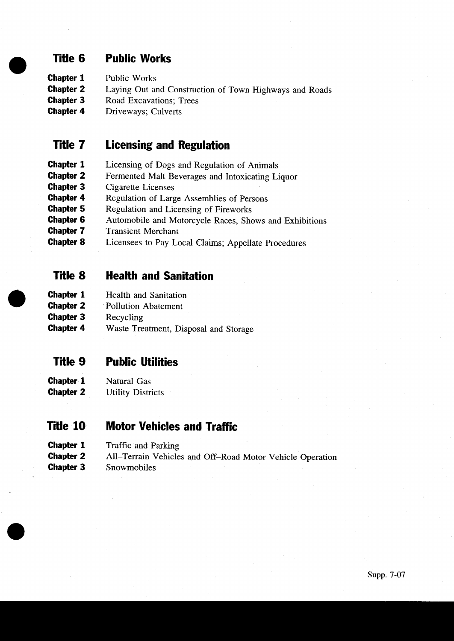## Title 6 Public Works

- **Chapter 1** Public Works
- **Chapter 2** Laying Out and Construction of Town Highways and Roads<br>**Chapter 3** Road Excavations: Trees
- Road Excavations; Trees
- **Chapter 4** Driveways; Culverts

### Title 7 Licensing and Regulation

- **Chapter 1** Licensing of Dogs and Regulation of Animals<br>**Chapter 2** Fermented Malt Beverages and Intoxicating Li
- **Chapter 2** Fermented Malt Beverages and Intoxicating Liquor<br>**Chapter 3** Cigarette Licenses
- Cigarette Licenses
- **Chapter 4** Regulation of Large Assemblies of Persons<br>**Chapter 5** Regulation and Licensing of Fireworks
- **Chapter 5** Regulation and Licensing of Fireworks<br>**Chapter 6** Automobile and Motorcycle Races. She
- **Chapter 6** Automobile and Motorcycle Races, Shows and Exhibitions **Chapter 7** Transient Merchant
- **Transient Merchant**
- **Chapter 8** Licensees to Pay Local Claims; Appellate Procedures

#### Title 8 Health and Sanitation

- **Chapter 1** Health and Sanitation
- **Chapter 2** Pollution Abatement
- **Chapter 3** Recycling<br> **Chapter 4** Waste Tre
- Waste Treatment, Disposal and Storage

#### Ttle <sup>9</sup> Public Utilities

- **Chapter 1** Natural Gas
- **Chapter 2** Utility Districts

#### Title 10 Motor Vehicles and Traffic

- **Chapter 1** Traffic and Parking<br>**Chapter 2** All-Terrain Vehicle
- **Chapter 2** All-Terrain Vehicles and Off-Road Motor Vehicle Operation Chapter 3 Snowmobiles
- Snowmobiles